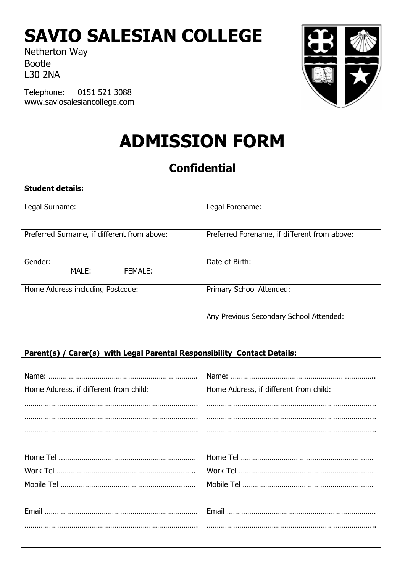# **SAVIO SALESIAN COLLEGE**

Netherton Way Bootle L30 2NA

Telephone: 0151 521 3088 www.saviosalesiancollege.com



# **ADMISSION FORM**

# **Confidential**

# **Student details:**

| Legal Surname:                              | Legal Forename:                              |
|---------------------------------------------|----------------------------------------------|
| Preferred Surname, if different from above: | Preferred Forename, if different from above: |
| Gender:<br>MALE:<br>FEMALE:                 | Date of Birth:                               |
| Home Address including Postcode:            | Primary School Attended:                     |
|                                             | Any Previous Secondary School Attended:      |

# **Parent(s) / Carer(s) with Legal Parental Responsibility Contact Details:**

| Home Address, if different from child: | Home Address, if different from child: |
|----------------------------------------|----------------------------------------|
|                                        |                                        |
|                                        |                                        |
|                                        |                                        |
|                                        |                                        |
|                                        |                                        |
|                                        |                                        |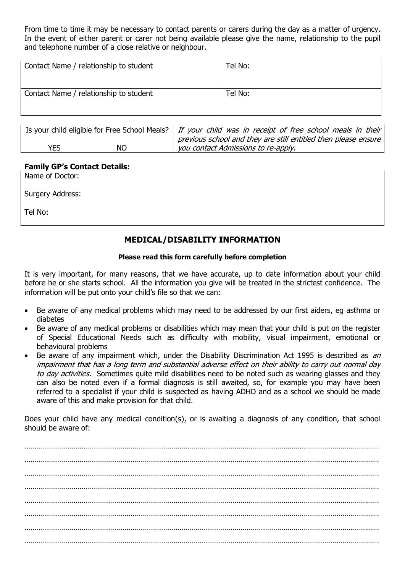From time to time it may be necessary to contact parents or carers during the day as a matter of urgency. In the event of either parent or carer not being available please give the name, relationship to the pupil and telephone number of a close relative or neighbour.

| Contact Name / relationship to student | Tel No: |
|----------------------------------------|---------|
| Contact Name / relationship to student | Tel No: |

|            |           | Is your child eligible for Free School Meals?   If your child was in receipt of free school meals in their |
|------------|-----------|------------------------------------------------------------------------------------------------------------|
|            |           | previous school and they are still entitled then please ensure                                             |
| <b>YES</b> | <b>NO</b> | you contact Admissions to re-apply.                                                                        |

#### **Family GP's Contact Details:**

Name of Doctor:

Surgery Address:

Tel No:

# **MEDICAL/DISABILITY INFORMATION**

#### **Please read this form carefully before completion**

It is very important, for many reasons, that we have accurate, up to date information about your child before he or she starts school. All the information you give will be treated in the strictest confidence. The information will be put onto your child's file so that we can:

- Be aware of any medical problems which may need to be addressed by our first aiders, eg asthma or diabetes
- Be aware of any medical problems or disabilities which may mean that your child is put on the register of Special Educational Needs such as difficulty with mobility, visual impairment, emotional or behavioural problems
- Be aware of any impairment which, under the Disability Discrimination Act 1995 is described as an impairment that has a long term and substantial adverse effect on their ability to carry out normal day to day activities. Sometimes quite mild disabilities need to be noted such as wearing glasses and they can also be noted even if a formal diagnosis is still awaited, so, for example you may have been referred to a specialist if your child is suspected as having ADHD and as a school we should be made aware of this and make provision for that child.

Does your child have any medical condition(s), or is awaiting a diagnosis of any condition, that school should be aware of:

………………………………………………………………………………………………………………………………………………………… ………………………………………………………………………………………………………………………………………………………… ………………………………………………………………………………………………………………………………………………………… ………………………………………………………………………………………………………………………………………………………… ………………………………………………………………………………………………………………………………………………………… ………………………………………………………………………………………………………………………………………………………… ………………………………………………………………………………………………………………………………………………………… …………………………………………………………………………………………………………………………………………………………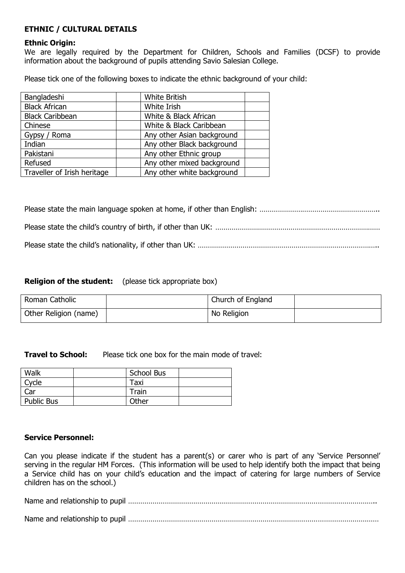# **ETHNIC / CULTURAL DETAILS**

#### **Ethnic Origin:**

We are legally required by the Department for Children, Schools and Families (DCSF) to provide information about the background of pupils attending Savio Salesian College.

Please tick one of the following boxes to indicate the ethnic background of your child:

| Bangladeshi                 | <b>White British</b>       |  |
|-----------------------------|----------------------------|--|
| <b>Black African</b>        | White Irish                |  |
| <b>Black Caribbean</b>      | White & Black African      |  |
| Chinese                     | White & Black Caribbean    |  |
| Gypsy / Roma                | Any other Asian background |  |
| Indian                      | Any other Black background |  |
| Pakistani                   | Any other Ethnic group     |  |
| Refused                     | Any other mixed background |  |
| Traveller of Irish heritage | Any other white background |  |

#### **Religion of the student:** (please tick appropriate box)

| Roman Catholic        | Church of England |  |
|-----------------------|-------------------|--|
| Other Religion (name) | No Religion       |  |

**Travel to School:** Please tick one box for the main mode of travel:

| Walk              | School Bus |  |
|-------------------|------------|--|
| Cycle             | Taxi       |  |
| Car               | Train      |  |
| <b>Public Bus</b> | Other      |  |

#### **Service Personnel:**

Can you please indicate if the student has a parent(s) or carer who is part of any 'Service Personnel' serving in the regular HM Forces. (This information will be used to help identify both the impact that being a Service child has on your child's education and the impact of catering for large numbers of Service children has on the school.)

Name and relationship to pupil …………………………………………………………………………………………………………..

Name and relationship to pupil ……………………………………………………………………………………………………………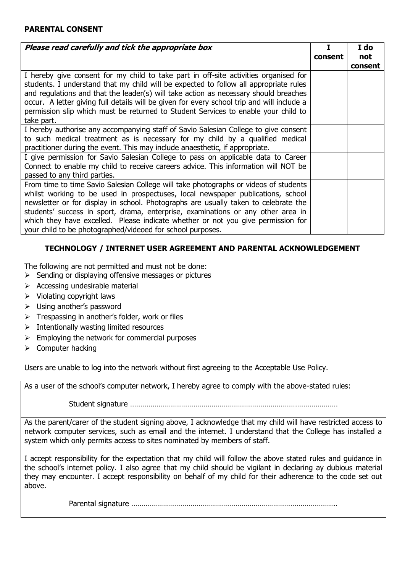#### **PARENTAL CONSENT**

| Please read carefully and tick the appropriate box                                                                                                                                                                                                                                                                                                                                                                                                                                                   |         | I do<br>not |
|------------------------------------------------------------------------------------------------------------------------------------------------------------------------------------------------------------------------------------------------------------------------------------------------------------------------------------------------------------------------------------------------------------------------------------------------------------------------------------------------------|---------|-------------|
|                                                                                                                                                                                                                                                                                                                                                                                                                                                                                                      | consent | consent     |
| I hereby give consent for my child to take part in off-site activities organised for<br>students. I understand that my child will be expected to follow all appropriate rules<br>and regulations and that the leader(s) will take action as necessary should breaches<br>occur. A letter giving full details will be given for every school trip and will include a<br>permission slip which must be returned to Student Services to enable your child to<br>take part.                              |         |             |
| I hereby authorise any accompanying staff of Savio Salesian College to give consent<br>to such medical treatment as is necessary for my child by a qualified medical<br>practitioner during the event. This may include anaesthetic, if appropriate.                                                                                                                                                                                                                                                 |         |             |
| I give permission for Savio Salesian College to pass on applicable data to Career<br>Connect to enable my child to receive careers advice. This information will NOT be<br>passed to any third parties.                                                                                                                                                                                                                                                                                              |         |             |
| From time to time Savio Salesian College will take photographs or videos of students<br>whilst working to be used in prospectuses, local newspaper publications, school<br>newsletter or for display in school. Photographs are usually taken to celebrate the<br>students' success in sport, drama, enterprise, examinations or any other area in<br>which they have excelled. Please indicate whether or not you give permission for<br>your child to be photographed/videoed for school purposes. |         |             |

# **TECHNOLOGY / INTERNET USER AGREEMENT AND PARENTAL ACKNOWLEDGEMENT**

The following are not permitted and must not be done:

- ➢ Sending or displaying offensive messages or pictures
- $\triangleright$  Accessing undesirable material
- ➢ Violating copyright laws
- ➢ Using another's password
- $\triangleright$  Trespassing in another's folder, work or files
- $\triangleright$  Intentionally wasting limited resources
- $\triangleright$  Employing the network for commercial purposes
- ➢ Computer hacking

Users are unable to log into the network without first agreeing to the Acceptable Use Policy.

As a user of the school's computer network, I hereby agree to comply with the above-stated rules:

Student signature …………………………………………………………………………………………

As the parent/carer of the student signing above, I acknowledge that my child will have restricted access to network computer services, such as email and the internet. I understand that the College has installed a system which only permits access to sites nominated by members of staff.

I accept responsibility for the expectation that my child will follow the above stated rules and guidance in the school's internet policy. I also agree that my child should be vigilant in declaring ay dubious material they may encounter. I accept responsibility on behalf of my child for their adherence to the code set out above.

Parental signature ………………………………………………………………………………………..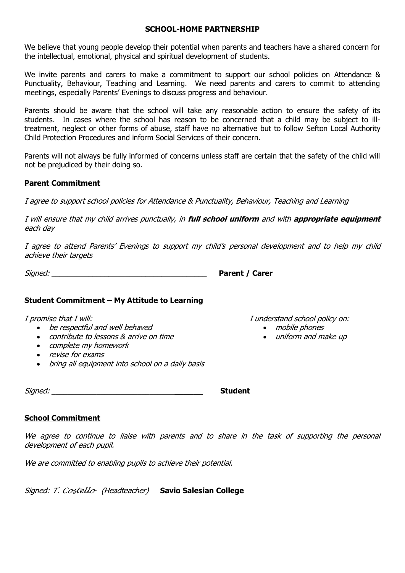#### **SCHOOL-HOME PARTNERSHIP**

We believe that young people develop their potential when parents and teachers have a shared concern for the intellectual, emotional, physical and spiritual development of students.

We invite parents and carers to make a commitment to support our school policies on Attendance & Punctuality, Behaviour, Teaching and Learning. We need parents and carers to commit to attending meetings, especially Parents' Evenings to discuss progress and behaviour.

Parents should be aware that the school will take any reasonable action to ensure the safety of its students. In cases where the school has reason to be concerned that a child may be subject to illtreatment, neglect or other forms of abuse, staff have no alternative but to follow Sefton Local Authority Child Protection Procedures and inform Social Services of their concern.

Parents will not always be fully informed of concerns unless staff are certain that the safety of the child will not be prejudiced by their doing so.

# **Parent Commitment**

I agree to support school policies for Attendance & Punctuality, Behaviour, Teaching and Learning

I will ensure that my child arrives punctually, in **full school uniform** and with **appropriate equipment**  each day

I agree to attend Parents' Evenings to support my child's personal development and to help my child achieve their targets

| Signed: | <b>Parent / Carer</b> |
|---------|-----------------------|
|         |                       |

# **Student Commitment – My Attitude to Learning**

#### I promise that I will:

- be respectful and well behaved
- contribute to lessons & arrive on time
- complete my homework
- revise for exams
- bring all equipment into school on a daily basis

Signed: \_\_\_\_\_\_\_\_\_\_\_\_\_\_\_\_\_\_\_\_\_\_\_\_\_\_\_\_\_\_**\_\_\_\_\_\_ Student**

# **School Commitment**

We agree to continue to liaise with parents and to share in the task of supporting the personal development of each pupil.

We are committed to enabling pupils to achieve their potential.

Signed: *T. Costello* (Headteacher) **Savio Salesian College** 

I understand school policy on:

- mobile phones
- uniform and make up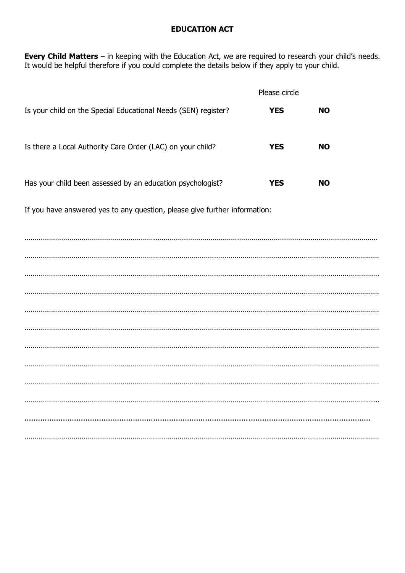### **EDUCATION ACT**

**Every Child Matters** – in keeping with the Education Act, we are required to research your child's needs. It would be helpful therefore if you could complete the details below if they apply to your child.

|                                                                | Please circle |           |
|----------------------------------------------------------------|---------------|-----------|
| Is your child on the Special Educational Needs (SEN) register? | <b>YES</b>    | NO.       |
| Is there a Local Authority Care Order (LAC) on your child?     | <b>YES</b>    | <b>NO</b> |
| Has your child been assessed by an education psychologist?     | <b>YES</b>    | NO.       |

If you have answered yes to any question, please give further information:

………………………………………………………..……………………………………………………………………………………………… ………………………………………………………………………………………………………………………………………………………… ………………………………………………………………………………………………………………………………………………………… ………………………………………………………………………………………………………………………………………………………… ………………………………………………………………………………………………………………………………………………………… ………………………………………………………………………………………………………………………………………………………… ………………………………………………………………………………………………………………………………………………………… ………………………………………………………………………………………………………………………………………………………… ………………………………………………………………………………………………………………………………………………………… ………………………………………………………………………………………………………………………………………………………... ......................................................................................................................................................... …………………………………………………………………………………………………………………………………………………………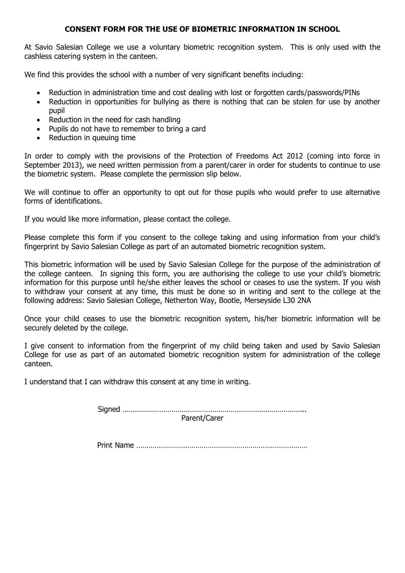#### **CONSENT FORM FOR THE USE OF BIOMETRIC INFORMATION IN SCHOOL**

At Savio Salesian College we use a voluntary biometric recognition system. This is only used with the cashless catering system in the canteen.

We find this provides the school with a number of very significant benefits including:

- Reduction in administration time and cost dealing with lost or forgotten cards/passwords/PINs
- Reduction in opportunities for bullying as there is nothing that can be stolen for use by another pupil
- Reduction in the need for cash handling
- Pupils do not have to remember to bring a card
- Reduction in queuing time

In order to comply with the provisions of the Protection of Freedoms Act 2012 (coming into force in September 2013), we need written permission from a parent/carer in order for students to continue to use the biometric system. Please complete the permission slip below.

We will continue to offer an opportunity to opt out for those pupils who would prefer to use alternative forms of identifications.

If you would like more information, please contact the college.

Please complete this form if you consent to the college taking and using information from your child's fingerprint by Savio Salesian College as part of an automated biometric recognition system.

This biometric information will be used by Savio Salesian College for the purpose of the administration of the college canteen. In signing this form, you are authorising the college to use your child's biometric information for this purpose until he/she either leaves the school or ceases to use the system. If you wish to withdraw your consent at any time, this must be done so in writing and sent to the college at the following address: Savio Salesian College, Netherton Way, Bootle, Merseyside L30 2NA

Once your child ceases to use the biometric recognition system, his/her biometric information will be securely deleted by the college.

I give consent to information from the fingerprint of my child being taken and used by Savio Salesian College for use as part of an automated biometric recognition system for administration of the college canteen.

I understand that I can withdraw this consent at any time in writing.

Signed ……………………………………………………………………………... Parent/Carer

Print Name …………………………………………………………………………